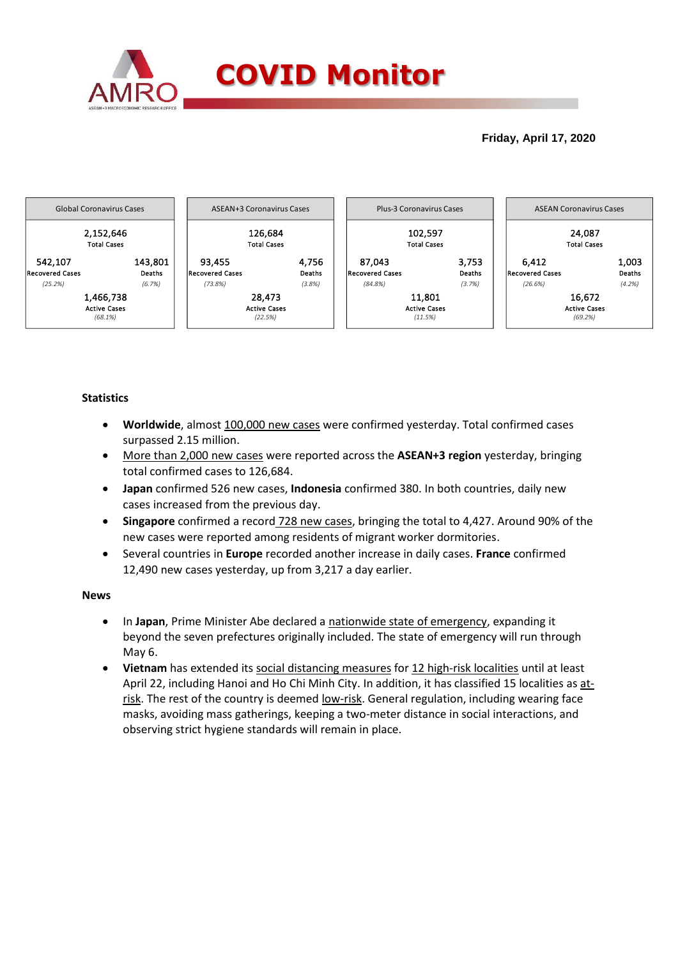

## **Friday, April 17, 2020**



### **Statistics**

- **Worldwide**, almost 100,000 new cases were confirmed yesterday. Total confirmed cases surpassed 2.15 million.
- More than 2,000 new cases were reported across the **ASEAN+3 region** yesterday, bringing total confirmed cases to 126,684.
- **Japan** confirmed 526 new cases, **Indonesia** confirmed 380. In both countries, daily new cases increased from the previous day.
- **Singapore** confirmed a record 728 new cases, bringing the total to 4,427. Around 90% of the new cases were reported among residents of migrant worker dormitories.
- Several countries in **Europe** recorded another increase in daily cases. **France** confirmed 12,490 new cases yesterday, up from 3,217 a day earlier.

#### **News**

- In **Japan**, Prime Minister Abe declared a nationwide state of emergency, expanding it beyond the seven prefectures originally included. The state of emergency will run through May 6.
- **Vietnam** has extended its social distancing measures for 12 high-risk localities until at least April 22, including Hanoi and Ho Chi Minh City. In addition, it has classified 15 localities as atrisk. The rest of the country is deemed <u>low-risk</u>. General regulation, including wearing face masks, avoiding mass gatherings, keeping a two-meter distance in social interactions, and observing strict hygiene standards will remain in place.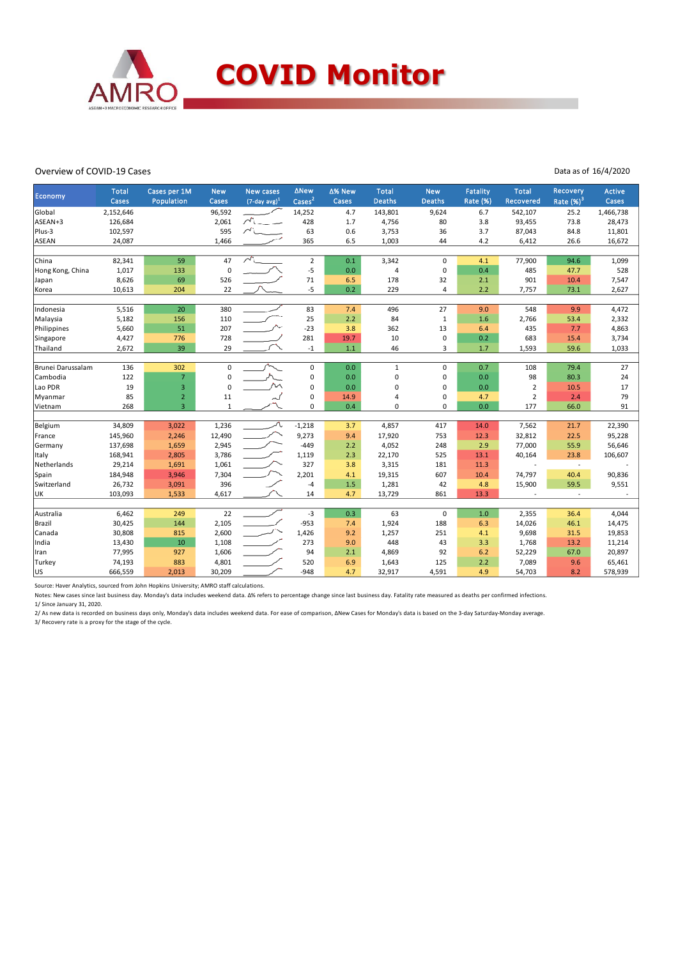

#### Overview of COVID-19 Cases

Data as of 16/4/2020

|                   | <b>Total</b> | Cases per 1M   | <b>New</b>   | <b>New cases</b>    | <b>ANew</b>        | ∆% New | <b>Total</b>  | <b>New</b>   | <b>Fatality</b> | <b>Total</b>   | <b>Recovery</b> | Active    |
|-------------------|--------------|----------------|--------------|---------------------|--------------------|--------|---------------|--------------|-----------------|----------------|-----------------|-----------|
| Economy           | Cases        | Population     | Cases        | $(7$ -day avg $)^1$ | Cases <sup>2</sup> | Cases  | <b>Deaths</b> | Deaths       | Rate (%)        | Recovered      | Rate $(%)^3$    | Cases     |
| Global            | 2,152,646    |                | 96,592       |                     | 14,252             | 4.7    | 143,801       | 9,624        | 6.7             | 542,107        | 25.2            | 1,466,738 |
| ASEAN+3           | 126,684      |                | 2,061        |                     | 428                | 1.7    | 4,756         | 80           | 3.8             | 93,455         | 73.8            | 28,473    |
| Plus-3            | 102,597      |                | 595          |                     | 63                 | 0.6    | 3,753         | 36           | 3.7             | 87,043         | 84.8            | 11,801    |
| ASEAN             | 24,087       |                | 1,466        |                     | 365                | 6.5    | 1,003         | 44           | 4.2             | 6,412          | 26.6            | 16,672    |
|                   |              |                |              |                     |                    |        |               |              |                 |                |                 |           |
| China             | 82,341       | 59             | 47           |                     | $\overline{2}$     | 0.1    | 3,342         | $\mathbf 0$  | 4.1             | 77,900         | 94.6            | 1,099     |
| Hong Kong, China  | 1,017        | 133            | 0            |                     | $-5$               | 0.0    | 4             | $\mathbf 0$  | 0.4             | 485            | 47.7            | 528       |
| Japan             | 8,626        | 69             | 526          |                     | $71\,$             | 6.5    | 178           | 32           | 2.1             | 901            | 10.4            | 7,547     |
| Korea             | 10,613       | 204            | 22           |                     | $-5$               | 0.2    | 229           | 4            | 2.2             | 7,757          | 73.1            | 2,627     |
|                   |              |                |              |                     |                    |        |               |              |                 |                |                 |           |
| Indonesia         | 5,516        | 20             | 380          |                     | 83                 | 7.4    | 496           | 27           | 9.0             | 548            | 9.9             | 4,472     |
| Malaysia          | 5,182        | 156            | 110          |                     | 25                 | 2.2    | 84            | $\mathbf{1}$ | 1.6             | 2,766          | 53.4            | 2,332     |
| Philippines       | 5,660        | 51             | 207          |                     | $-23$              | 3.8    | 362           | 13           | 6.4             | 435            | 7.7             | 4,863     |
| Singapore         | 4,427        | 776            | 728          |                     | 281                | 19.7   | 10            | 0            | 0.2             | 683            | 15.4            | 3,734     |
| Thailand          | 2,672        | 39             | 29           |                     | $-1$               | 1.1    | 46            | 3            | 1.7             | 1,593          | 59.6            | 1,033     |
|                   |              |                |              |                     |                    |        |               |              |                 |                |                 |           |
| Brunei Darussalam | 136          | 302            | 0            |                     | $\mathbf 0$        | 0.0    | $\mathbf{1}$  | $\mathbf 0$  | 0.7             | 108            | 79.4            | 27        |
| Cambodia          | 122          | $\overline{7}$ | 0            |                     | $\pmb{0}$          | 0.0    | 0             | 0            | 0.0             | 98             | 80.3            | 24        |
| Lao PDR           | 19           | 3              | $\mathbf 0$  |                     | $\pmb{0}$          | 0.0    | $\Omega$      | $\Omega$     | 0.0             | 2              | 10.5            | 17        |
| Myanmar           | 85           | $\overline{2}$ | 11           |                     | $\pmb{0}$          | 14.9   | 4             | 0            | 4.7             | $\overline{2}$ | 2.4             | 79        |
| Vietnam           | 268          | $\overline{3}$ | $\mathbf{1}$ |                     | 0                  | 0.4    | 0             | $\Omega$     | 0.0             | 177            | 66.0            | 91        |
|                   |              |                |              |                     |                    |        |               |              |                 |                |                 |           |
| Belgium           | 34,809       | 3,022          | 1,236        |                     | $-1,218$           | 3.7    | 4,857         | 417          | 14.0            | 7,562          | 21.7            | 22,390    |
| France            | 145,960      | 2,246          | 12,490       |                     | 9,273              | 9.4    | 17,920        | 753          | 12.3            | 32,812         | 22.5            | 95,228    |
| Germany           | 137,698      | 1,659          | 2,945        |                     | $-449$             | 2.2    | 4,052         | 248          | 2.9             | 77,000         | 55.9            | 56,646    |
| <b>Italy</b>      | 168,941      | 2,805          | 3,786        |                     | 1,119              | 2.3    | 22,170        | 525          | 13.1            | 40,164         | 23.8            | 106,607   |
| Netherlands       | 29,214       | 1,691          | 1,061        |                     | 327                | 3.8    | 3,315         | 181          | 11.3            |                | $\sim$          |           |
| Spain             | 184,948      | 3,946          | 7,304        |                     | 2,201              | 4.1    | 19,315        | 607          | 10.4            | 74,797         | 40.4            | 90,836    |
| Switzerland       | 26,732       | 3,091          | 396          |                     | $-4$               | 1.5    | 1,281         | 42           | 4.8             | 15,900         | 59.5            | 9,551     |
| UK                | 103,093      | 1,533          | 4,617        |                     | 14                 | 4.7    | 13,729        | 861          | 13.3            |                | $\omega$        |           |
|                   |              |                |              |                     |                    |        |               |              |                 |                |                 |           |
| Australia         | 6,462        | 249            | 22           |                     | $-3$               | 0.3    | 63            | $\mathbf 0$  | 1.0             | 2,355          | 36.4            | 4,044     |
| Brazil            | 30,425       | 144            | 2,105        |                     | $-953$             | 7.4    | 1,924         | 188          | 6.3             | 14,026         | 46.1            | 14,475    |
| Canada            | 30,808       | 815            | 2,600        |                     | 1,426              | 9.2    | 1,257         | 251          | 4.1             | 9,698          | 31.5            | 19,853    |
| India             | 13,430       | 10             | 1,108        |                     | 273                | 9.0    | 448           | 43           | 3.3             | 1,768          | 13.2            | 11,214    |
| Iran              | 77,995       | 927            | 1,606        |                     | 94                 | 2.1    | 4,869         | 92           | 6.2             | 52,229         | 67.0            | 20,897    |
| Turkey            | 74,193       | 883            | 4,801        |                     | 520                | 6.9    | 1,643         | 125          | 2.2             | 7,089          | 9.6             | 65,461    |
| <b>US</b>         | 666,559      | 2,013          | 30,209       |                     | $-948$             | 4.7    | 32,917        | 4,591        | 4.9             | 54,703         | 8.2             | 578,939   |

Source: Haver Analytics, sourced from John Hopkins University; AMRO staff calculations.

Notes: New cases since last business day. Monday's data includes weekend data. Δ% refers to percentage change since last business day. Fatality rate measured as deaths per confirmed infections. 1/ Since January 31, 2020.

2/ As new data is recorded on business days only, Monday's data includes weekend data. For ease of comparison, ΔNew Cases for Monday's data is based on the 3-day Saturday-Monday average. 3/ Recovery rate is a proxy for the stage of the cycle.